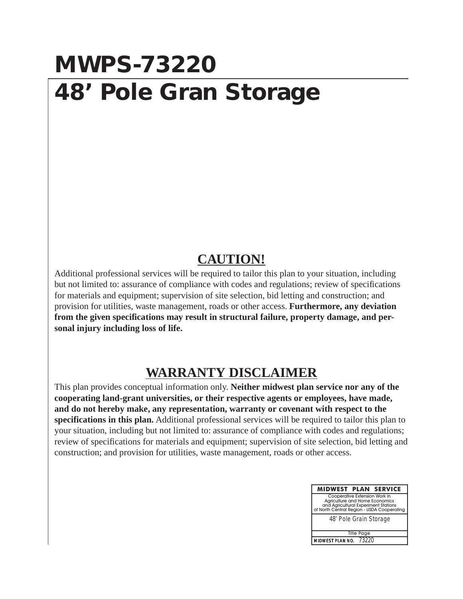## **MWPS-73220 48' Pole Gran Storage**

## **CAUTION!**

Additional professional services will be required to tailor this plan to your situation, including but not limited to: assurance of compliance with codes and regulations; review of specifications for materials and equipment; supervision of site selection, bid letting and construction; and provision for utilities, waste management, roads or other access. **Furthermore, any deviation from the given specifications may result in structural failure, property damage, and personal injury including loss of life.**

## **WARRANTY DISCLAIMER**

This plan provides conceptual information only. **Neither midwest plan service nor any of the cooperating land-grant universities, or their respective agents or employees, have made, and do not hereby make, any representation, warranty or covenant with respect to the specifications in this plan.** Additional professional services will be required to tailor this plan to your situation, including but not limited to: assurance of compliance with codes and regulations; review of specifications for materials and equipment; supervision of site selection, bid letting and construction; and provision for utilities, waste management, roads or other access.

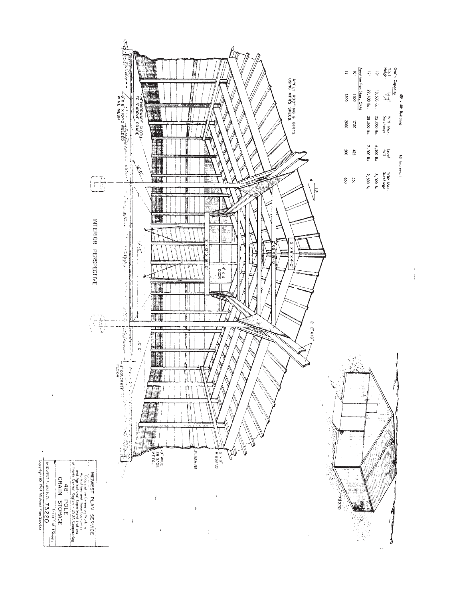

 $\ddot{\phantom{0}}$ 

MDWEST PLAN NO. 73220<br>Copyright © 1964 Midwest Plan Service

L.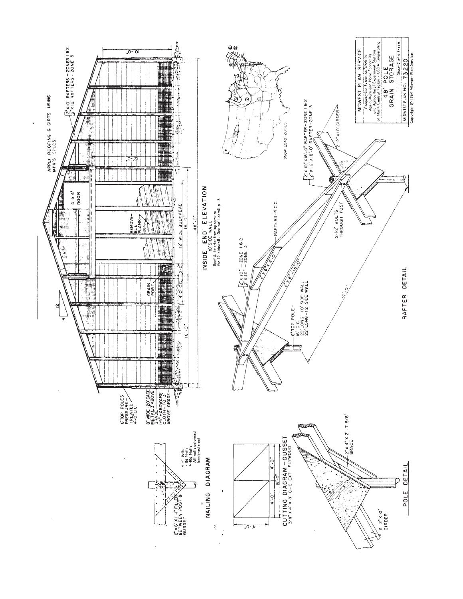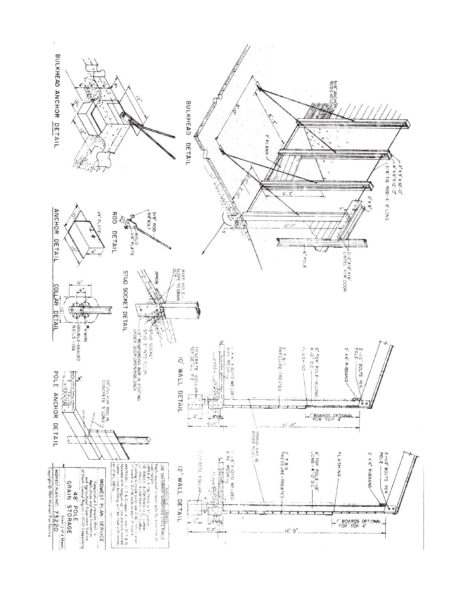